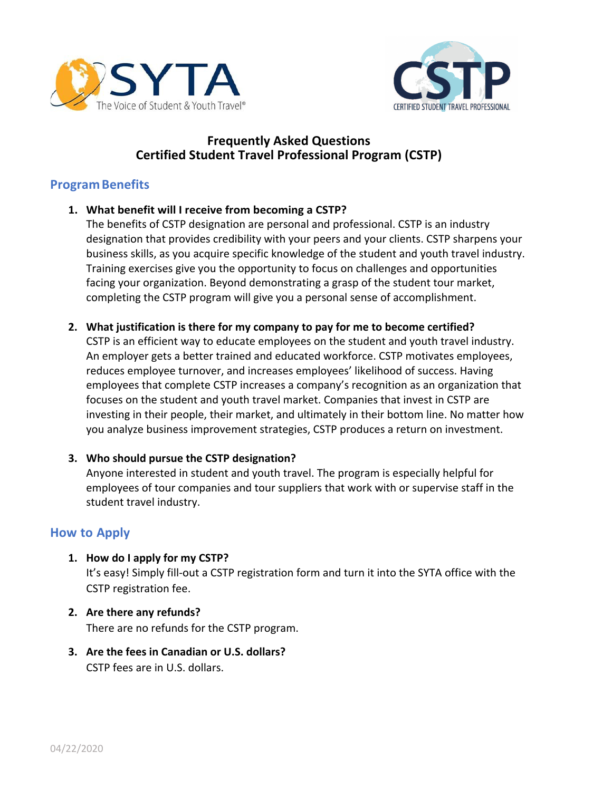



# **Frequently Asked Questions Certified Student Travel Professional Program (CSTP)**

# **ProgramBenefits**

**1. What benefit will I receive from becoming a CSTP?**

The benefits of CSTP designation are personal and professional. CSTP is an industry designation that provides credibility with your peers and your clients. CSTP sharpens your business skills, as you acquire specific knowledge of the student and youth travel industry. Training exercises give you the opportunity to focus on challenges and opportunities facing your organization. Beyond demonstrating a grasp of the student tour market, completing the CSTP program will give you a personal sense of accomplishment.

**2. What justification is there for my company to pay for me to become certified?**

CSTP is an efficient way to educate employees on the student and youth travel industry. An employer gets a better trained and educated workforce. CSTP motivates employees, reduces employee turnover, and increases employees' likelihood of success. Having employees that complete CSTP increases a company's recognition as an organization that focuses on the student and youth travel market. Companies that invest in CSTP are investing in their people, their market, and ultimately in their bottom line. No matter how you analyze business improvement strategies, CSTP produces a return on investment.

#### **3. Who should pursue the CSTP designation?**

Anyone interested in student and youth travel. The program is especially helpful for employees of tour companies and tour suppliers that work with or supervise staff in the student travel industry.

## **How to Apply**

- **1. How do I apply for my CSTP?** It's easy! Simply fill-out a CSTP registration form and turn it into the SYTA office with the CSTP registration fee.
- **2. Are there any refunds?** There are no refunds for the CSTP program.
- **3. Are the fees in Canadian or U.S. dollars?** CSTP fees are in U.S. dollars.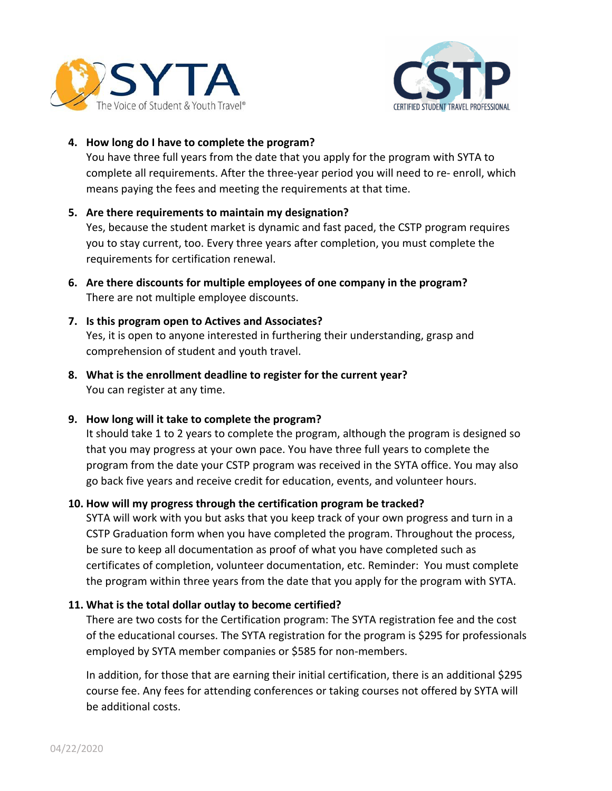



#### **4. How long do I have to complete the program?**

You have three full years from the date that you apply for the program with SYTA to complete all requirements. After the three-year period you will need to re- enroll, which means paying the fees and meeting the requirements at that time.

### **5. Are there requirements to maintain my designation?**

Yes, because the student market is dynamic and fast paced, the CSTP program requires you to stay current, too. Every three years after completion, you must complete the requirements for certification renewal.

**6. Are there discounts for multiple employees of one company in the program?** There are not multiple employee discounts.

## **7. Is this program open to Actives and Associates?** Yes, it is open to anyone interested in furthering their understanding, grasp and comprehension of student and youth travel.

**8. What is the enrollment deadline to register for the current year?** You can register at any time.

## **9. How long will it take to complete the program?**

It should take 1 to 2 years to complete the program, although the program is designed so that you may progress at your own pace. You have three full years to complete the program from the date your CSTP program was received in the SYTA office. You may also go back five years and receive credit for education, events, and volunteer hours.

## **10. How will my progress through the certification program be tracked?**

SYTA will work with you but asks that you keep track of your own progress and turn in a CSTP Graduation form when you have completed the program. Throughout the process, be sure to keep all documentation as proof of what you have completed such as certificates of completion, volunteer documentation, etc. Reminder: You must complete the program within three years from the date that you apply for the program with SYTA.

#### **11. What is the total dollar outlay to become certified?**

There are two costs for the Certification program: The SYTA registration fee and the cost of the educational courses. The SYTA registration for the program is \$295 for professionals employed by SYTA member companies or \$585 for non-members.

In addition, for those that are earning their initial certification, there is an additional \$295 course fee. Any fees for attending conferences or taking courses not offered by SYTA will be additional costs.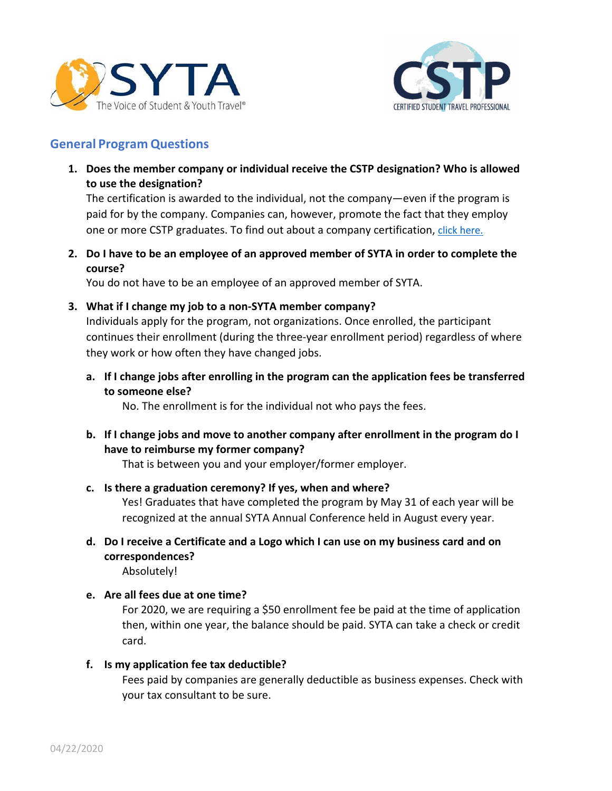



# **General Program Questions**

**1. Does the member company or individual receive the CSTP designation? Who is allowed to use the designation?**

The certification is awarded to the individual, not the company—even if the program is paid for by the company. Companies can, however, promote the fact that they employ one or more CSTP graduates. To find out about a company certification, click here.

**2. Do I have to be an employee of an approved member of SYTA in order to complete the course?**

You do not have to be an employee of an approved member of SYTA.

**3. What if I change my job to a non-SYTA member company?**

Individuals apply for the program, not organizations. Once enrolled, the participant continues their enrollment (during the three-year enrollment period) regardless of where they work or how often they have changed jobs.

**a. If I change jobs after enrolling in the program can the application fees be transferred to someone else?**

No. The enrollment is for the individual not who pays the fees.

**b. If I change jobs and move to another company after enrollment in the program do I have to reimburse my former company?**

That is between you and your employer/former employer.

- **c. Is there a graduation ceremony? If yes, when and where?** Yes! Graduates that have completed the program by May 31 of each year will be recognized at the annual SYTA Annual Conference held in August every year.
- **d. Do I receive a Certificate and a Logo which I can use on my business card and on correspondences?**

Absolutely!

**e. Are all fees due at one time?**

For 2020, we are requiring a \$50 enrollment fee be paid at the time of application then, within one year, the balance should be paid. SYTA can take a check or credit card.

#### **f. Is my application fee tax deductible?**

Fees paid by companies are generally deductible as business expenses. Check with your tax consultant to be sure.